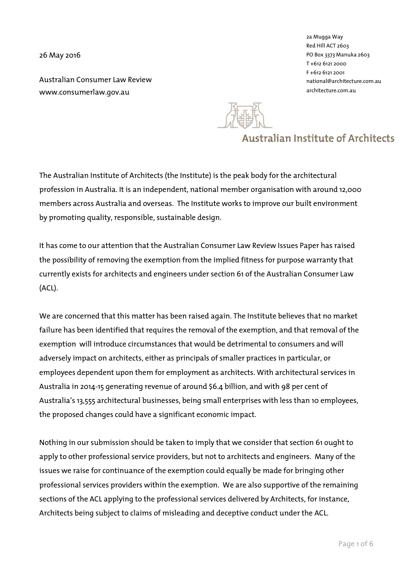26 May 2016

Australian Consumer Law Review www.consumerlaw.gov.au

2a Mugga Way Red Hill ACT 2603 PO Box 3373 Manuka 2603 T +612 6121 2000 F +612 6121 2001 national@architecture.com.au architecture.com.au



# **Australian Institute of Architects**

The Australian Institute of Architects (the Institute) is the peak body for the architectural profession in Australia. It is an independent, national member organisation with around 12,000 members across Australia and overseas. The Institute works to improve our built environment by promoting quality, responsible, sustainable design.

It has come to our attention that the Australian Consumer Law Review Issues Paper has raised the possibility of removing the exemption from the implied fitness for purpose warranty that currently exists for architects and engineers under section 61 of the Australian Consumer Law (ACL).

We are concerned that this matter has been raised again. The Institute believes that no market failure has been identified that requires the removal of the exemption, and that removal of the exemption will introduce circumstances that would be detrimental to consumers and will adversely impact on architects, either as principals of smaller practices in particular, or employees dependent upon them for employment as architects. With architectural services in Australia in 2014-15 generating revenue of around \$6.4 billion, and with 98 per cent of Australia's 13,555 architectural businesses, being small enterprises with less than 10 employees, the proposed changes could have a significant economic impact.

Nothing in our submission should be taken to imply that we consider that section 61 ought to apply to other professional service providers, but not to architects and engineers. Many of the issues we raise for continuance of the exemption could equally be made for bringing other professional services providers within the exemption. We are also supportive of the remaining sections of the ACL applying to the professional services delivered by Architects, for instance, Architects being subject to claims of misleading and deceptive conduct under the ACL.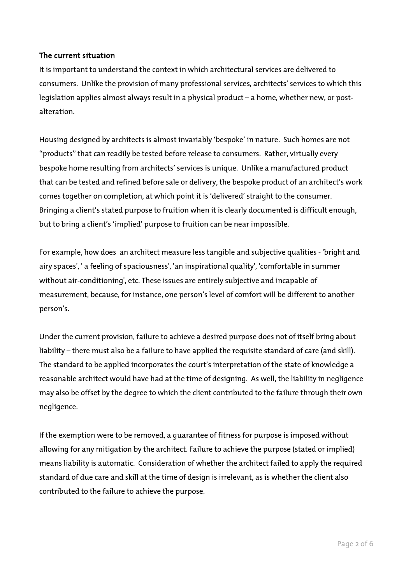#### The current situation

It is important to understand the context in which architectural services are delivered to consumers. Unlike the provision of many professional services, architects' services to which this legislation applies almost always result in a physical product – a home, whether new, or postalteration.

Housing designed by architects is almost invariably 'bespoke' in nature. Such homes are not "products" that can readily be tested before release to consumers. Rather, virtually every bespoke home resulting from architects' services is unique. Unlike a manufactured product that can be tested and refined before sale or delivery, the bespoke product of an architect's work comes together on completion, at which point it is 'delivered' straight to the consumer. Bringing a client's stated purpose to fruition when it is clearly documented is difficult enough, but to bring a client's 'implied' purpose to fruition can be near impossible.

For example, how does an architect measure less tangible and subjective qualities - 'bright and airy spaces', ' a feeling of spaciousness', 'an inspirational quality', 'comfortable in summer without air-conditioning', etc. These issues are entirely subjective and incapable of measurement, because, for instance, one person's level of comfort will be different to another person's.

Under the current provision, failure to achieve a desired purpose does not of itself bring about liability – there must also be a failure to have applied the requisite standard of care (and skill). The standard to be applied incorporates the court's interpretation of the state of knowledge a reasonable architect would have had at the time of designing. As well, the liability in negligence may also be offset by the degree to which the client contributed to the failure through their own negligence.

If the exemption were to be removed, a guarantee of fitness for purpose is imposed without allowing for any mitigation by the architect. Failure to achieve the purpose (stated or implied) means liability is automatic. Consideration of whether the architect failed to apply the required standard of due care and skill at the time of design is irrelevant, as is whether the client also contributed to the failure to achieve the purpose.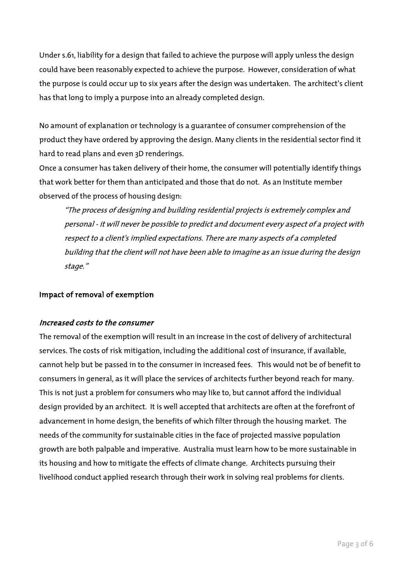Under s.61, liability for a design that failed to achieve the purpose will apply unless the design could have been reasonably expected to achieve the purpose. However, consideration of what the purpose is could occur up to six years after the design was undertaken. The architect's client has that long to imply a purpose into an already completed design.

No amount of explanation or technology is a guarantee of consumer comprehension of the product they have ordered by approving the design. Many clients in the residential sector find it hard to read plans and even 3D renderings.

Once a consumer has taken delivery of their home, the consumer will potentially identify things that work better for them than anticipated and those that do not. As an Institute member observed of the process of housing design:

"The process of designing and building residential projects is extremely complex and personal - it will never be possible to predict and document every aspect of a project with respect to a client's implied expectations. There are many aspects of a completed building that the client will not have been able to imagine as an issue during the design stage."

#### Impact of removal of exemption

### Increased costs to the consumer

The removal of the exemption will result in an increase in the cost of delivery of architectural services. The costs of risk mitigation, including the additional cost of insurance, if available, cannot help but be passed in to the consumer in increased fees. This would not be of benefit to consumers in general, as it will place the services of architects further beyond reach for many. This is not just a problem for consumers who may like to, but cannot afford the individual design provided by an architect. It is well accepted that architects are often at the forefront of advancement in home design, the benefits of which filter through the housing market. The needs of the community for sustainable cities in the face of projected massive population growth are both palpable and imperative. Australia must learn how to be more sustainable in its housing and how to mitigate the effects of climate change. Architects pursuing their livelihood conduct applied research through their work in solving real problems for clients.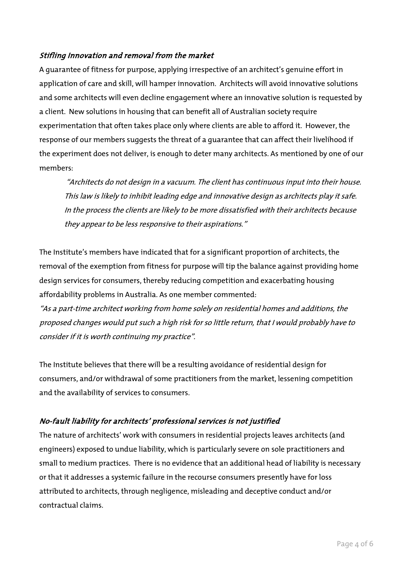## Stifling Innovation and removal from the market

A guarantee of fitness for purpose, applying irrespective of an architect's genuine effort in application of care and skill, will hamper innovation. Architects will avoid innovative solutions and some architects will even decline engagement where an innovative solution is requested by a client. New solutions in housing that can benefit all of Australian society require experimentation that often takes place only where clients are able to afford it. However, the response of our members suggests the threat of a guarantee that can affect their livelihood if the experiment does not deliver, is enough to deter many architects. As mentioned by one of our members:

"Architects do not design in a vacuum. The client has continuous input into their house. This law is likely to inhibit leading edge and innovative design as architects play it safe. In the process the clients are likely to be more dissatisfied with their architects because they appear to be less responsive to their aspirations."

The Institute's members have indicated that for a significant proportion of architects, the removal of the exemption from fitness for purpose will tip the balance against providing home design services for consumers, thereby reducing competition and exacerbating housing affordability problems in Australia. As one member commented:

"As a part-time architect working from home solely on residential homes and additions, the proposed changes would put such a high risk for so little return, that I would probably have to consider if it is worth continuing my practice".

The Institute believes that there will be a resulting avoidance of residential design for consumers, and/or withdrawal of some practitioners from the market, lessening competition and the availability of services to consumers.

## No-fault liability for architects' professional services is not justified

The nature of architects' work with consumers in residential projects leaves architects (and engineers) exposed to undue liability, which is particularly severe on sole practitioners and small to medium practices. There is no evidence that an additional head of liability is necessary or that it addresses a systemic failure in the recourse consumers presently have for loss attributed to architects, through negligence, misleading and deceptive conduct and/or contractual claims.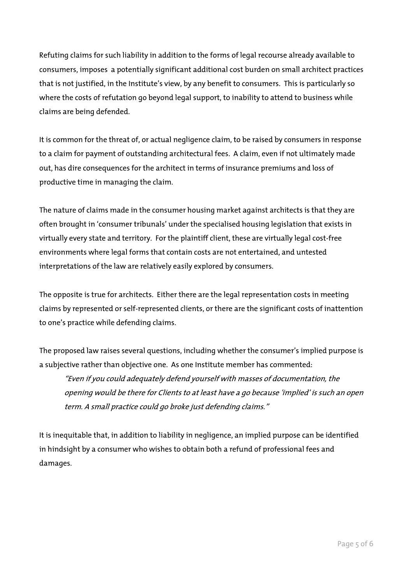Refuting claims for such liability in addition to the forms of legal recourse already available to consumers, imposes a potentially significant additional cost burden on small architect practices that is not justified, in the Institute's view, by any benefit to consumers. This is particularly so where the costs of refutation go beyond legal support, to inability to attend to business while claims are being defended.

It is common for the threat of, or actual negligence claim, to be raised by consumers in response to a claim for payment of outstanding architectural fees. A claim, even if not ultimately made out, has dire consequences for the architect in terms of insurance premiums and loss of productive time in managing the claim.

The nature of claims made in the consumer housing market against architects is that they are often brought in 'consumer tribunals' under the specialised housing legislation that exists in virtually every state and territory. For the plaintiff client, these are virtually legal cost-free environments where legal forms that contain costs are not entertained, and untested interpretations of the law are relatively easily explored by consumers.

The opposite is true for architects. Either there are the legal representation costs in meeting claims by represented or self-represented clients, or there are the significant costs of inattention to one's practice while defending claims.

The proposed law raises several questions, including whether the consumer's implied purpose is a subjective rather than objective one. As one Institute member has commented:

"Even if you could adequately defend yourself with masses of documentation, the opening would be there for Clients to at least have a go because 'implied' is such an open term. A small practice could go broke just defending claims."

It is inequitable that, in addition to liability in negligence, an implied purpose can be identified in hindsight by a consumer who wishes to obtain both a refund of professional fees and damages.